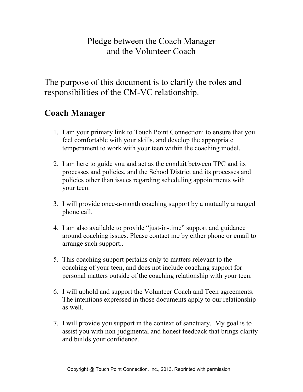## Pledge between the Coach Manager and the Volunteer Coach

The purpose of this document is to clarify the roles and responsibilities of the CM-VC relationship.

## **Coach Manager**

- 1. I am your primary link to Touch Point Connection: to ensure that you feel comfortable with your skills, and develop the appropriate temperament to work with your teen within the coaching model.
- 2. I am here to guide you and act as the conduit between TPC and its processes and policies, and the School District and its processes and policies other than issues regarding scheduling appointments with your teen.
- 3. I will provide once-a-month coaching support by a mutually arranged phone call.
- 4. I am also available to provide "just-in-time" support and guidance around coaching issues. Please contact me by either phone or email to arrange such support..
- 5. This coaching support pertains only to matters relevant to the coaching of your teen, and does not include coaching support for personal matters outside of the coaching relationship with your teen.
- 6. I will uphold and support the Volunteer Coach and Teen agreements. The intentions expressed in those documents apply to our relationship as well.
- 7. I will provide you support in the context of sanctuary. My goal is to assist you with non-judgmental and honest feedback that brings clarity and builds your confidence.